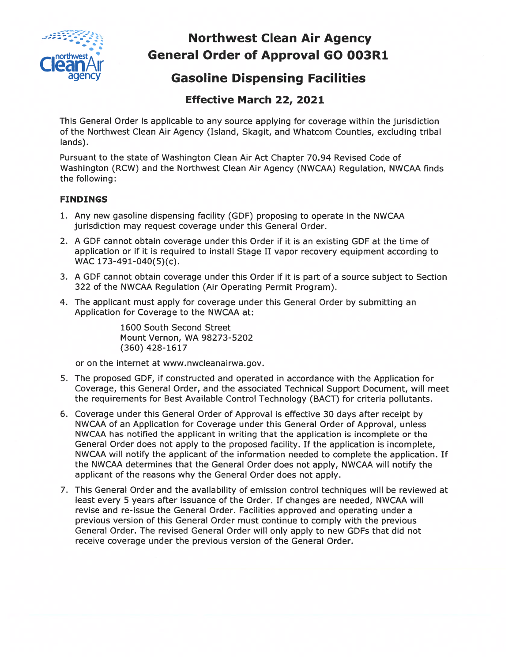

# Northwest Clean Air Agency General Order of Approval GO 003R1

## **Gasoline Dispensing Facilities**

### Effective March 22, 2021

This General Order is applicable to any source applying for coverage within the jurisdiction of the Northwest Clean Air Agency (Island, Skagit, and Whatcom Counties, excluding tribal lands).

Pursuant to the state of Washington Clean Air Act Chapter 70.94 Revised Code of Washington (RCW) and the Northwest Clean Air Agency (NWCAA) Regulation, NWCAA finds the following:

#### FINDINGS

- 1. Any new gasoline dispensing facility (GDF) proposing to operate in the NWCAA jurisdiction may reques<sup>t</sup> coverage under this General Order.
- 2. A GDF cannot obtain coverage under this Order if it is an existing GDF at the time of application or if it is required to install Stage II vapor recovery equipment according to WAC 173-491-040(5)(c).
- 3. A GDF cannot obtain coverage under this Order if it is par<sup>t</sup> of <sup>a</sup> source subject to Section 322 of the NWCAA Regulation (Air Operating Permit Program).
- 4. The applicant must apply for coverage under this General Order by submitting an Application for Coverage to the NWCAA at:

1600 South Second Street Mount Vernon, WA 98273-5202 (360) 428-1617

or on the internet at www.nwcleanairwa.gov.

- 5. The proposed GDF, if constructed and operated in accordance with the Application for Coverage, this General Order, and the associated Technical Support Document, will meet the requirements for Best Available Control Technology (BACT) for criteria pollutants.
- 6. Coverage under this General Order of Approval is effective 30 days after receipt by NWCAA of an Application for Coverage under this General Order of Approval, unless NWCAA has notified the applicant in writing that the application is incomplete or the General Order does not apply to the proposed facility. If the application is incomplete, NWCAA will notify the applicant of the information needed to complete the application. If the NWCAA determines that the General Order does not apply, NWCAA will notify the applicant of the reasons why the General Order does not apply.
- 7. This General Order and the availability of emission control techniques will be reviewed at least every 5 years after issuance of the Order. If changes are needed, NWCAA will revise and re-issue the General Order. Facilities approved and operating under <sup>a</sup> previous version of this General Order must continue to comply with the previous General Order. The revised General Order will only apply to new GDF5 that did not receive coverage under the previous version of the General Order.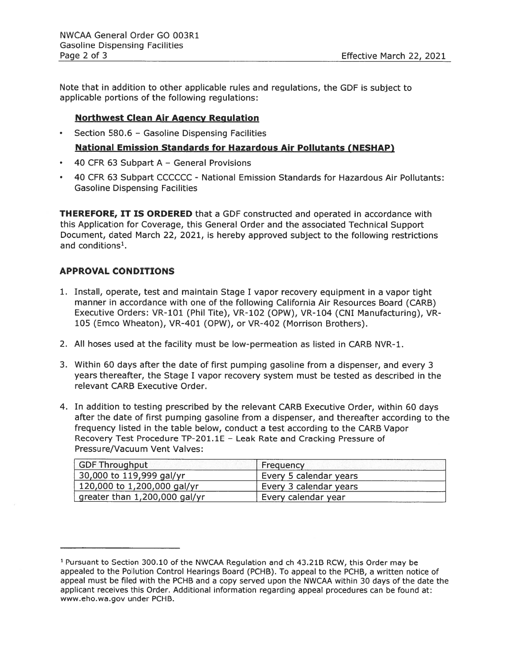Note that in addition to other applicable rules and regulations, the GDF is subject to applicable portions of the following regulations:

#### Northwest Clean Air Agency Regulation

•Section 580.6 — Gasoline Dispensing Facilities

#### National Emission Standards for Hazardous Air Pollutants (NESHAP

- 40 CFR 63 Subpart A General Provisions
- 40 CFR 63 Subpart CCCCCC National Emission Standards for Hazardous Air Pollutants: Gasoline Dispensing Facilities

**THEREFORE, IT IS ORDERED** that a GDF constructed and operated in accordance with this Application for Coverage, this General Order and the associated Technical Support Document, dated March 22, 2021, is hereby approved subject to the following restrictions and conditions<sup>1</sup>.

#### APPROVAL CONDITIONS

- 1. Install, operate, test and maintain Stage <sup>I</sup> vapor recovery equipment in <sup>a</sup> vapor tight manner in accordance with one of the following California Air Resources Board (CARB) Executive Orders: VR-101 (Phil Tite), VR-102 (OPW), VR-104 (CNI Manufacturing), VR 105 (Emco Wheaton), VR-401 (OPW), or VR-402 (Morrison Brothers).
- 2. All hoses used at the facility must be low-permeation as listed in CARB NVR-1.
- 3. Within 60 days after the date of first pumping gasoline from <sup>a</sup> dispenser, and every 3 years thereafter, the Stage I vapor recovery system must be tested as described in the relevant CARB Executive Order.
- 4. In addition to testing prescribed by the relevant CARB Executive Order, within 60 days after the date of first pumping gasoline from <sup>a</sup> dispenser, and thereafter according to the frequency listed in the table below, conduct <sup>a</sup> test according to the CARB Vapor Recovery Test Procedure TP-201.1E — Leak Rate and Cracking Pressure of Pressure/Vacuum Vent Valves:

| <b>GDF Throughput</b>         | Frequency              |
|-------------------------------|------------------------|
| 30,000 to 119,999 gal/yr      | Every 5 calendar years |
| 120,000 to 1,200,000 gal/yr   | Every 3 calendar years |
| greater than 1,200,000 gal/yr | Every calendar year    |

<sup>1</sup> Pursuant to Section 300.10 of the NWCAA Regulation and ch 43.21B RCW, this Order may be appealed to the Pollution Control Hearings Board (PCHB). To appeal to the PCHB, <sup>a</sup> written notice of appeal must be filed with the PCHB and <sup>a</sup> copy served upon the NWCAA within 30 days of the date the applicant receives this Order. Additional information regarding appeal procedures can be found at: www.eho.wa.gov under PCHB.